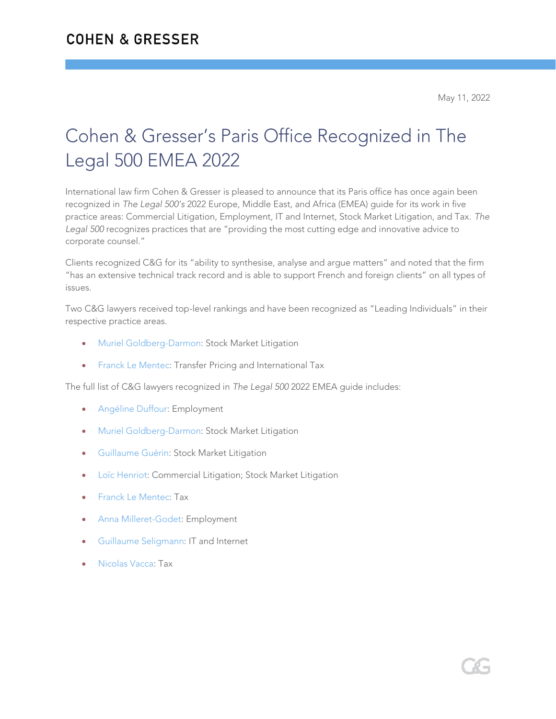## Cohen & Gresser's Paris Office Recognized in The Legal 500 EMEA 2022

International law firm Cohen & Gresser is pleased to announce that its Paris office has once again been recognized in *The Legal 500's* 2022 Europe, Middle East, and Africa (EMEA) guide for its work in five practice areas: Commercial Litigation, Employment, IT and Internet, Stock Market Litigation, and Tax. *The Legal 500* recognizes practices that are "providing the most cutting edge and innovative advice to corporate counsel."

Clients recognized C&G for its "ability to synthesise, analyse and argue matters" and noted that the firm "has an extensive technical track record and is able to support French and foreign clients" on all types of issues.

Two C&G lawyers received top-level rankings and have been recognized as "Leading Individuals" in their respective practice areas.

- [Muriel Goldberg-Darmon:](https://www.cohengresser.com/attorney/muriel-goldberg-darmon/) Stock Market Litigation
- [Franck Le Mentec:](https://www.cohengresser.com/attorney/franck-le-mentec/) Transfer Pricing and International Tax

The full list of C&G lawyers recognized in *The Legal 500* 2022 EMEA guide includes:

- [Angéline Duffour:](https://www.cohengresser.com/attorney/angeline-duffour/) Employment
- [Muriel Goldberg-Darmon:](https://www.cohengresser.com/attorney/muriel-goldberg-darmon/) Stock Market Litigation
- [Guillaume Guérin:](https://www.cohengresser.com/attorney/guillaume-guerin/) Stock Market Litigation
- Loïc [Henriot:](https://www.cohengresser.com/attorney/loic-henriot/) Commercial Litigation; Stock Market Litigation
- [Franck Le Mentec:](https://www.cohengresser.com/attorney/franck-le-mentec/) Tax
- [Anna Milleret-Godet:](https://www.cohengresser.com/attorney/anna-milleret-godet/) Employment
- [Guillaume Seligmann:](https://www.cohengresser.com/attorney/guillaume-seligmann/) IT and Internet
- [Nicolas Vacca:](https://www.cohengresser.com/attorney/nicolas-vacca/) Tax